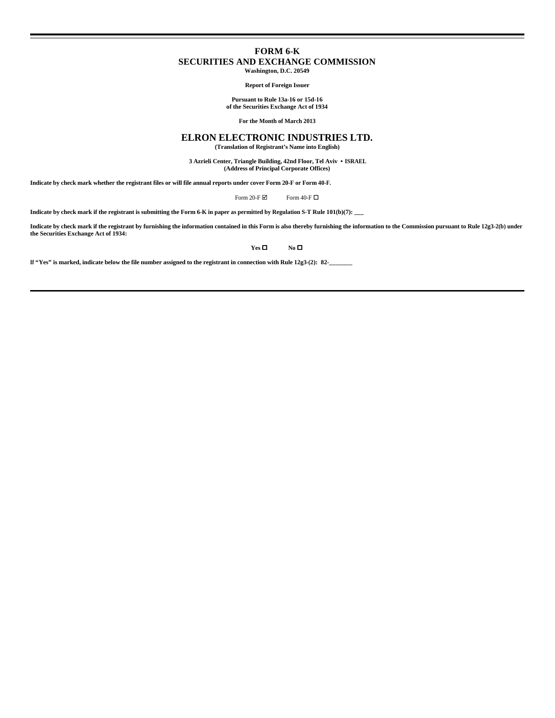# **FORM 6-K SECURITIES AND EXCHANGE COMMISSION Washington, D.C. 20549**

**Report of Foreign Issuer**

**Pursuant to Rule 13a-16 or 15d-16 of the Securities Exchange Act of 1934**

**For the Month of March 2013**

# **ELRON ELECTRONIC INDUSTRIES LTD.**

**(Translation of Registrant's Name into English)**

 **3 Azrieli Center, Triangle Building, 42nd Floor, Tel Aviv • ISRAEL (Address of Principal Corporate Offices)**

**Indicate by check mark whether the registrant files or will file annual reports under cover Form 20-F or Form 40-F.**

Form 20-F $\boxtimes$  Form 40-F $\Box$ 

**Indicate by check mark if the registrant is submitting the Form 6-K in paper as permitted by Regulation S-T Rule 101(b)(7): \_\_\_**

**Indicate by check mark if the registrant by furnishing the information contained in this Form is also thereby furnishing the information to the Commission pursuant to Rule 12g3-2(b) under the Securities Exchange Act of 1934:**

**Yes □ No □** 

**If "Yes" is marked, indicate below the file number assigned to the registrant in connection with Rule 12g3-(2): 82-\_\_\_\_\_\_\_**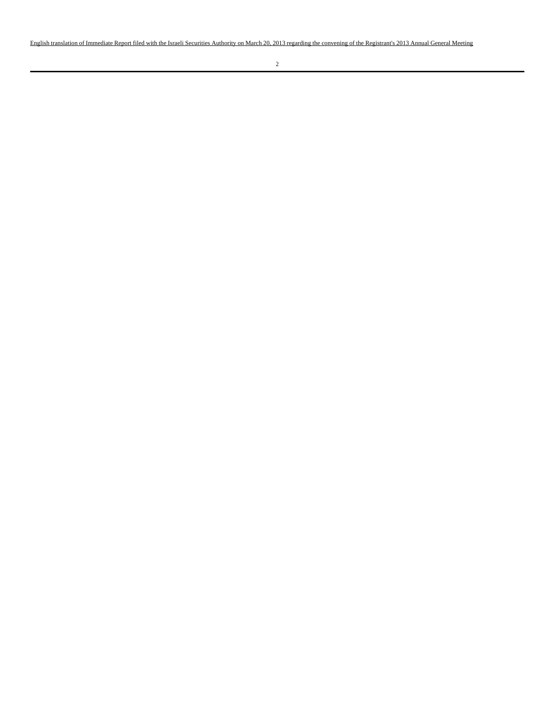English translation of Immediate Report filed with the Israeli Securities Authority on March 20, 2013 regarding the convening of the Registrant's 2013 Annual General Meeting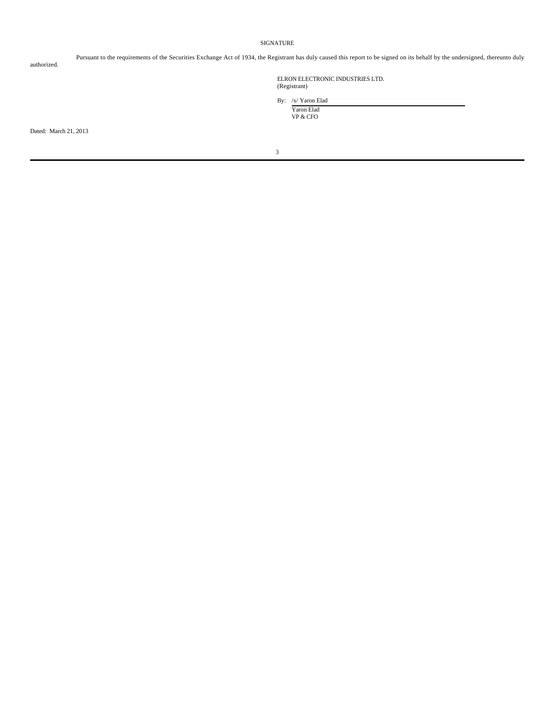### SIGNATURE

authorized.

Pursuant to the requirements of the Securities Exchange Act of 1934, the Registrant has duly caused this report to be signed on its behalf by the undersigned, thereunto duly

ELRON ELECTRONIC INDUSTRIES LTD. (Registrant)

By: /s/ Yaron Elad Yaron Elad

VP & CFO

Dated: March 21, 2013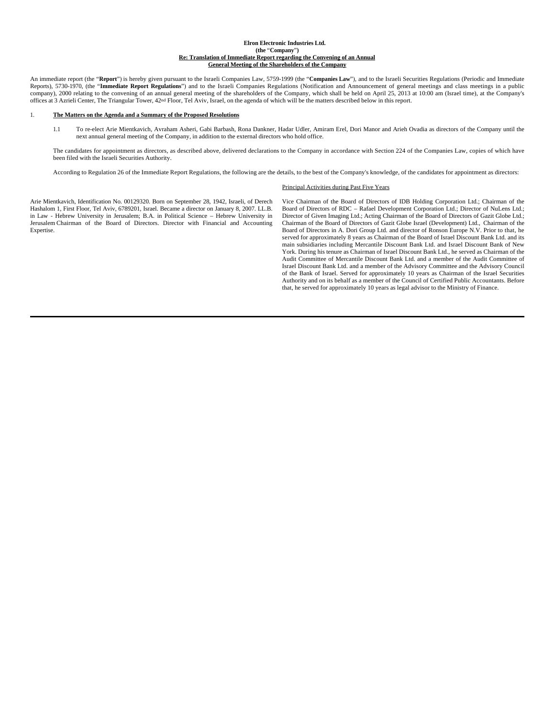#### **Elron Electronic Industries Ltd. (the** "**Company**"**) Re: Translation of Immediate Report regarding the Convening of an Annual General Meeting of the Shareholders of the Company**

An immediate report (the "**Report**") is hereby given pursuant to the Israeli Companies Law, 5759-1999 (the "**Companies Law**"), and to the Israeli Securities Regulations (Periodic and Immediate Reports), 5730-1970, (the "**Immediate Report Regulations**") and to the Israeli Companies Regulations (Notification and Announcement of general meetings and class meetings in a public company), 2000 relating to the convening of an annual general meeting of the shareholders of the Company, which shall be held on April 25, 2013 at 10:00 am (Israel time), at the Company's offices at 3 Azrieli Center, The Triangular Tower, 42nd Floor, Tel Aviv, Israel, on the agenda of which will be the matters described below in this report.

#### 1. **The Matters on the Agenda and a Summary of the Proposed Resolutions**

 1.1 To re-elect Arie Mientkavich, Avraham Asheri, Gabi Barbash, Rona Dankner, Hadar Udler, Amiram Erel, Dori Manor and Arieh Ovadia as directors of the Company until the next annual general meeting of the Company, in addition to the external directors who hold office.

The candidates for appointment as directors, as described above, delivered declarations to the Company in accordance with Section 224 of the Companies Law, copies of which have been filed with the Israeli Securities Authority.

According to Regulation 26 of the Immediate Report Regulations, the following are the details, to the best of the Company's knowledge, of the candidates for appointment as directors:

#### Principal Activities during Past Five Years

Arie Mientkavich, Identification No. 00129320. Born on September 28, 1942, Israeli, of Derech Hashalom 1, First Floor, Tel Aviv, 6789201, Israel. Became a director on January 8, 2007. LL.B. in Law - Hebrew University in Jerusalem; B.A. in Political Science – Hebrew University in Jerusalem Chairman of the Board of Directors. Director with Financial and Accounting Expertise.

Vice Chairman of the Board of Directors of IDB Holding Corporation Ltd.; Chairman of the Board of Directors of RDC – Rafael Development Corporation Ltd.; Director of NuLens Ltd.; Director of Given Imaging Ltd.; Acting Chairman of the Board of Directors of Gazit Globe Ltd.; Chairman of the Board of Directors of Gazit Globe Israel (Development) Ltd., Chairman of the Board of Directors in A. Dori Group Ltd. and director of Ronson Europe N.V. Prior to that, he served for approximately 8 years as Chairman of the Board of Israel Discount Bank Ltd. and its main subsidiaries including Mercantile Discount Bank Ltd. and Israel Discount Bank of New York. During his tenure as Chairman of Israel Discount Bank Ltd., he served as Chairman of the Audit Committee of Mercantile Discount Bank Ltd. and a member of the Audit Committee of Israel Discount Bank Ltd. and a member of the Advisory Committee and the Advisory Council of the Bank of Israel. Served for approximately 10 years as Chairman of the Israel Securities Authority and on its behalf as a member of the Council of Certified Public Accountants. Before that, he served for approximately 10 years as legal advisor to the Ministry of Finance.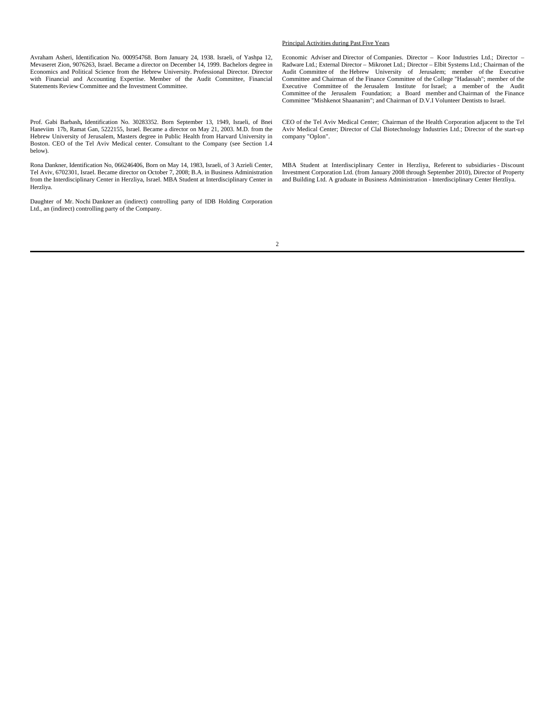Avraham Asheri, Identification No. 000954768. Born January 24, 1938. Israeli, of Yashpa 12, Mevaseret Zion, 9076263, Israel. Became a director on December 14, 1999. Bachelors degree in Economics and Political Science from the Hebrew University. Professional Director. Director with Financial and Accounting Expertise. Member of the Audit Committee, Financial Statements Review Committee and the Investment Committee.

 Prof. Gabi Barbash**,** Identification No. 30283352. Born September 13, 1949, Israeli, of Bnei Haneviim 17b, Ramat Gan, 5222155, Israel. Became a director on May 21, 2003. M.D. from the Hebrew University of Jerusalem, Masters degree in Public Health from Harvard University in Boston. CEO of the Tel Aviv Medical center. Consultant to the Company (see Section 1.4 below).

 Rona Dankner, Identification No, 066246406, Born on May 14, 1983, Israeli, of 3 Azrieli Center, Tel Aviv, 6702301, Israel. Became director on October 7, 2008; B.A. in Business Administration from the Interdisciplinary Center in Herzliya, Israel. MBA Student at Interdisciplinary Center in Herzliya.

Daughter of Mr. Nochi Dankner an (indirect) controlling party of IDB Holding Corporation Ltd., an (indirect) controlling party of the Company.

#### Principal Activities during Past Five Years

Economic Adviser and Director of Companies. Director – Koor Industries Ltd.; Director – Radware Ltd.; External Director – Mikronet Ltd.; Director – Elbit Systems Ltd.; Chairman of the Audit Committee of the Hebrew University of Jerusalem; member of the Executive Committee and Chairman of the Finance Committee of the College "Hadassah"; member of the Executive Committee of the Jerusalem Institute for Israel; a member of the Audit Committee of the Jerusalem Foundation; a Board member and Chairman of the Finance Committee "Mishkenot Shaananim"; and Chairman of D.V.I Volunteer Dentists to Israel.

CEO of the Tel Aviv Medical Center; Chairman of the Health Corporation adjacent to the Tel Aviv Medical Center; Director of Clal Biotechnology Industries Ltd.; Director of the start-up company "Oplon".

MBA Student at Interdisciplinary Center in Herzliya, Referent to subsidiaries - Discount Investment Corporation Ltd. (from January 2008 through September 2010), Director of Property and Building Ltd. A graduate in Business Administration - Interdisciplinary Center Herzliya.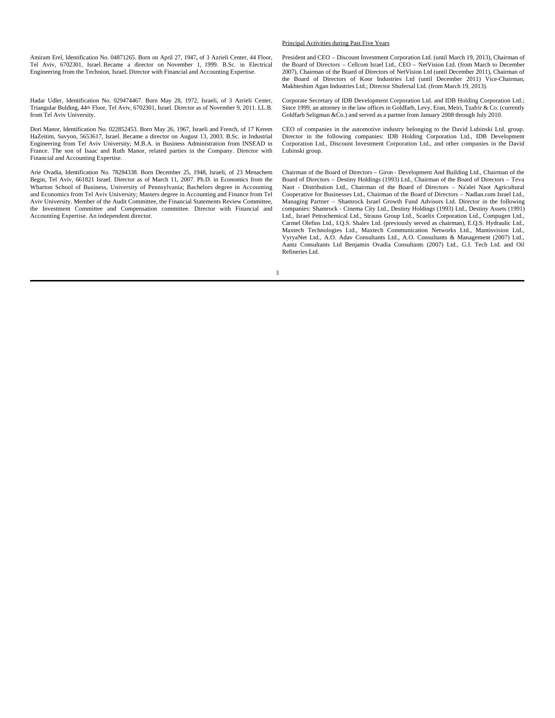Amiram Erel, Identification No. 04871265. Born on April 27, 1947**,** of 3 Azrieli Center, 44 Floor, Tel Aviv, 6702301, Israel. Became a director on November 1, 1999. B.Sc. in Electrical Engineering from the Technion, Israel**.** Director with Financial and Accounting Expertise.

 Hadar Udler, Identification No. 029474467. Born May 28, 1972, Israeli, of 3 Azrieli Center, Triangular Bulding, 44th Floor, Tel Aviv, 6702301, Israel. Director as of November 9, 2011. LL.B. from Tel Aviv University.

 Dori Manor, Identification No. 022852453. Born May 26, 1967, Israeli and French, of 17 Kerem HaZeitim, Savyon, 5653617, Israel. Became a director on August 13, 2003. B.Sc. in Industrial Engineering from Tel Aviv University; M.B.A. in Business Administration from INSEAD in France. The son of Isaac and Ruth Manor, related parties in the Company. Director with Financial and Accounting Expertise.

Arie Ovadia, Identification No. 78284338. Born December 25, 1948, Israeli, of 23 Menachem Begin, Tel Aviv, 661821 Israel. Director as of March 11, 2007. Ph.D. in Economics from the Wharton School of Business, University of Pennsylvania; Bachelors degree in Accounting and Economics from Tel Aviv University; Masters degree in Accounting and Finance from Tel Aviv University. Member of the Audit Committee, the Financial Statements Review Committee, the Investment Committee and Compensation committee. Director with Financial and Accounting Expertise. An independent director.

Principal Activities during Past Five Years

President and CEO – Discount Investment Corporation Ltd. (until March 19, 2013), Chairman of the Board of Directors – Cellcom Israel Ltd., CEO – NetVision Ltd. (from March to December 2007), Chairman of the Board of Directors of NetVision Ltd (until December 2011), Chairman of the Board of Directors of Koor Industries Ltd (until December 2011) Vice-Chairman, Makhteshim Agan Industries Ltd.; Director Shufersal Ltd. (from March 19, 2013).

Corporate Secretary of IDB Development Corporation Ltd. and IDB Holding Corporation Ltd.; Since 1999, an attorney in the law offices in Goldfarb, Levy, Eran, Meiri, Tzafrir & Co. (currently Goldfarb Seligman &Co.) and served as a partner from January 2008 through July 2010.

CEO of companies in the automotive industry belonging to the David Lubinski Ltd. group. Director in the following companies: IDB Holding Corporation Ltd., IDB Development Corporation Ltd., Discount Investment Corporation Ltd., and other companies in the David Lubinski group.

Chairman of the Board of Directors – Giron - Development And Building Ltd., Chairman of the Board of Directors – Destiny Holdings (1993) Ltd., Chairman of the Board of Directors – Teva Naot - Distribution Ltd., Chairman of the Board of Directors – Na'alei Naot Agricultural Cooperative for Businesses Ltd., Chairman of the Board of Directors – Nadlan.com Israel Ltd., Managing Partner – Shamrock Israel Growth Fund Advisors Ltd. Director in the following companies: Shamrock - Cinema City Ltd., Destiny Holdings (1993) Ltd., Destiny Assets (1991) Ltd., Israel Petrochemical Ltd., Strauss Group Ltd., Scaelix Corporation Ltd., Compugen Ltd., Carmel Olefins Ltd., I.Q.S. Shalev Ltd. (previously served as chairman), E.Q.S. Hydraulic Ltd., Maxtech Technologies Ltd., Maxtech Communication Networks Ltd., Mantisvision Ltd., VyryaNet Ltd., A.O. Adav Consultants Ltd., A.O. Consultants & Management (2007) Ltd., Aantz Consultants Ltd Benjamin Ovadia Consultants (2007) Ltd., G.I. Tech Ltd. and Oil Refineries Ltd.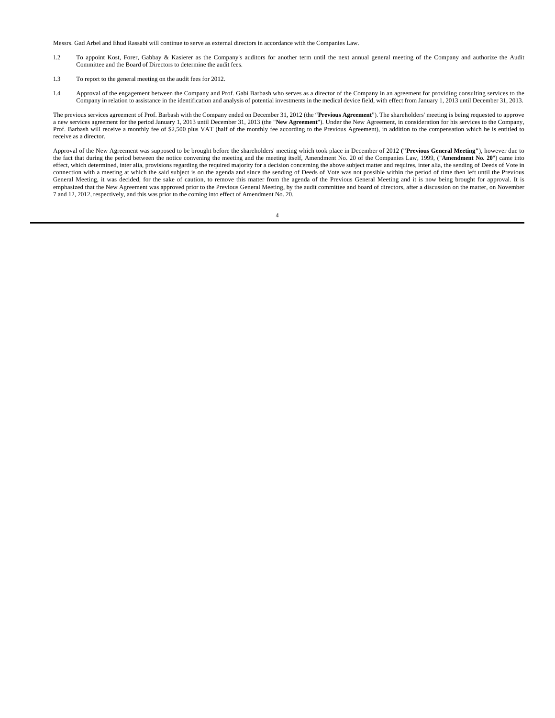Messrs. Gad Arbel and Ehud Rassabi will continue to serve as external directors in accordance with the Companies Law.

- 1.2 To appoint Kost, Forer, Gabbay & Kasierer as the Company's auditors for another term until the next annual general meeting of the Company and authorize the Audit Committee and the Board of Directors to determine the audit fees.
- 1.3 To report to the general meeting on the audit fees for 2012.
- 1.4 Approval of the engagement between the Company and Prof. Gabi Barbash who serves as a director of the Company in an agreement for providing consulting services to the Company in relation to assistance in the identification and analysis of potential investments in the medical device field, with effect from January 1, 2013 until December 31, 2013.

The previous services agreement of Prof. Barbash with the Company ended on December 31, 2012 (the "**Previous Agreement**"). The shareholders' meeting is being requested to approve a new services agreement for the period January 1, 2013 until December 31, 2013 (the "**New Agreement**"). Under the New Agreement, in consideration for his services to the Company, Prof. Barbash will receive a monthly fee of \$2,500 plus VAT (half of the monthly fee according to the Previous Agreement), in addition to the compensation which he is entitled to receive as a director.

Approval of the New Agreement was supposed to be brought before the shareholders' meeting which took place in December of 2012 **("Previous General Meeting"**), however due to the fact that during the period between the notice convening the meeting and the meeting itself, Amendment No. 20 of the Companies Law, 1999, ("**Amendment No. 20**") came into effect, which determined, inter alia, provisions regarding the required majority for a decision concerning the above subject matter and requires, inter alia, the sending of Deeds of Vote in connection with a meeting at which the said subject is on the agenda and since the sending of Deeds of Vote was not possible within the period of time then left until the Previous General Meeting, it was decided, for the sake of caution, to remove this matter from the agenda of the Previous General Meeting and it is now being brought for approval. It is emphasized that the New Agreement was approved prior to the Previous General Meeting, by the audit committee and board of directors, after a discussion on the matter, on November 7 and 12, 2012, respectively, and this was prior to the coming into effect of Amendment No. 20.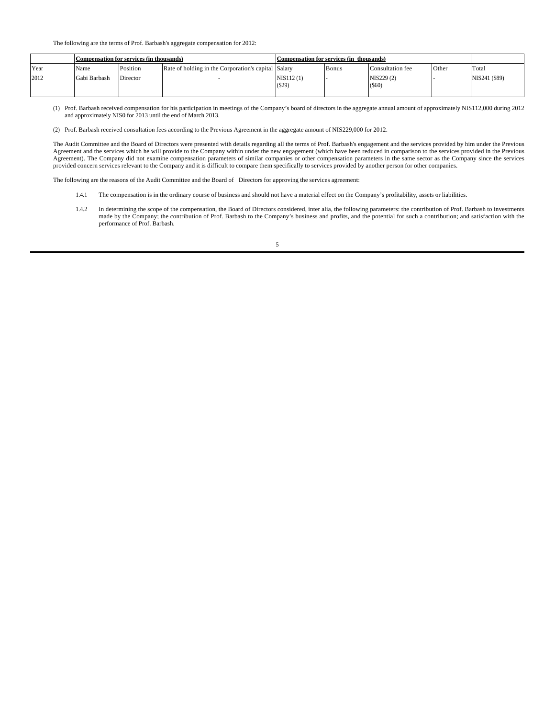The following are the terms of Prof. Barbash's aggregate compensation for 2012:

|             | Compensation for services (in thousands) |          |                                                     | Compensation for services (in thousands) |              |                     |       |               |
|-------------|------------------------------------------|----------|-----------------------------------------------------|------------------------------------------|--------------|---------------------|-------|---------------|
| <b>Year</b> | Name                                     | Position | Rate of holding in the Corporation's capital Salary |                                          | <b>Bonus</b> | Consultation fee    | Other | Total         |
| 2012        | Gabi Barbash                             | Director |                                                     | NIS112(1)<br>$($ \$29)                   |              | NIS229 (2)<br>(S60) |       | NIS241 (\$89) |

 (1) Prof. Barbash received compensation for his participation in meetings of the Company's board of directors in the aggregate annual amount of approximately NIS112,000 during 2012 and approximately NIS0 for 2013 until the end of March 2013.

(2) Prof. Barbash received consultation fees according to the Previous Agreement in the aggregate amount of NIS229,000 for 2012.

The Audit Committee and the Board of Directors were presented with details regarding all the terms of Prof. Barbash's engagement and the services provided by him under the Previous Agreement and the services which he will provide to the Company within under the new engagement (which have been reduced in comparison to the services provided in the Previous<br>Agreement). The Company did not examine compen provided concern services relevant to the Company and it is difficult to compare them specifically to services provided by another person for other companies.

The following are the reasons of the Audit Committee and the Board of Directors for approving the services agreement:

- 1.4.1 The compensation is in the ordinary course of business and should not have a material effect on the Company's profitability, assets or liabilities.
- 1.4.2 In determining the scope of the compensation, the Board of Directors considered, inter alia, the following parameters: the contribution of Prof. Barbash to investments made by the Company; the contribution of Prof. B performance of Prof. Barbash.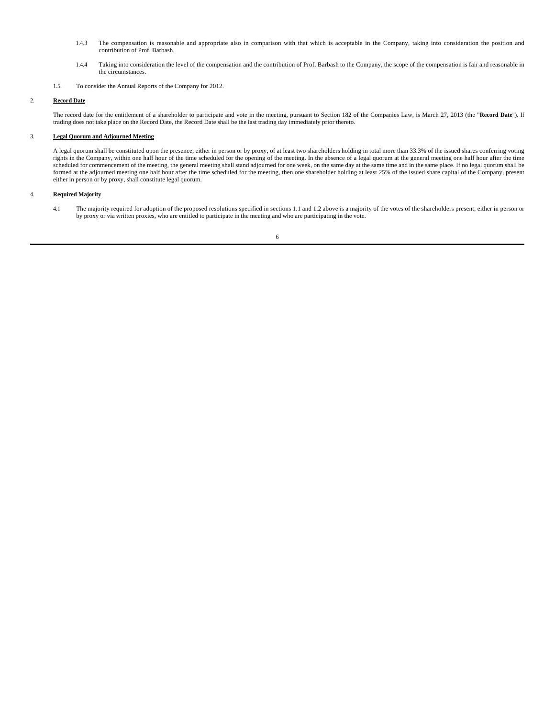- 1.4.3 The compensation is reasonable and appropriate also in comparison with that which is acceptable in the Company, taking into consideration the position and contribution of Prof. Barbash.
- 1.4.4 Taking into consideration the level of the compensation and the contribution of Prof. Barbash to the Company, the scope of the compensation is fair and reasonable in the circumstances.
- 1.5. To consider the Annual Reports of the Company for 2012.

## 2. **Record Date**

The record date for the entitlement of a shareholder to participate and vote in the meeting, pursuant to Section 182 of the Companies Law, is March 27, 2013 (the "**Record Date**"). If trading does not take place on the Record Date, the Record Date shall be the last trading day immediately prior thereto.

## 3. **Legal Quorum and Adjourned Meeting**

A legal quorum shall be constituted upon the presence, either in person or by proxy, of at least two shareholders holding in total more than 33.3% of the issued shares conferring voting rights in the Company, within one half hour of the time scheduled for the opening of the meeting. In the absence of a legal quorum at the general meeting one half hour after the time scheduled for commencement of the meeting, the general meeting shall stand adjourned for one week, on the same day at the same time and in the same place. If no legal quorum shall be formed at the adjourned meeting one half hour after the time scheduled for the meeting, then one shareholder holding at least 25% of the issued share capital of the Company, present either in person or by proxy, shall constitute legal quorum.

## 4. **Required Majority**

 4.1 The majority required for adoption of the proposed resolutions specified in sections 1.1 and 1.2 above is a majority of the votes of the shareholders present, either in person or by proxy or via written proxies, who are entitled to participate in the meeting and who are participating in the vote.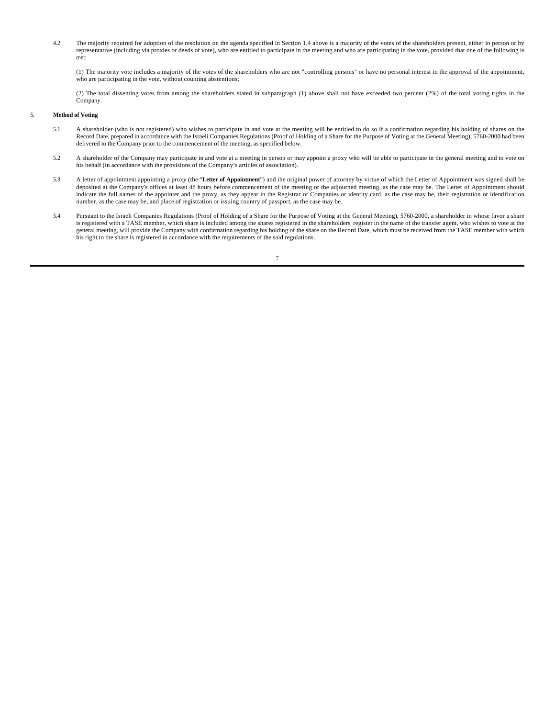4.2 The majority required for adoption of the resolution on the agenda specified in Section 1.4 above is a majority of the votes of the shareholders present, either in person or by representative (including via proxies or deeds of vote), who are entitled to participate in the meeting and who are participating in the vote, provided that one of the following is met:

(1) The majority vote includes a majority of the votes of the shareholders who are not "controlling persons" or have no personal interest in the approval of the appointment, who are participating in the vote, without counting abstentions;

(2) The total dissenting votes from among the shareholders stated in subparagraph (1) above shall not have exceeded two percent (2%) of the total voting rights in the Company.

### 5. **Method of Voting**

- 5.1 A shareholder (who is not registered) who wishes to participate in and vote at the meeting will be entitled to do so if a confirmation regarding his holding of shares on the Record Date, prepared in accordance with the Israeli Companies Regulations (Proof of Holding of a Share for the Purpose of Voting at the General Meeting), 5760-2000 had been delivered to the Company prior to the commencement of the meeting, as specified below.
- 5.2 A shareholder of the Company may participate in and vote at a meeting in person or may appoint a proxy who will be able to participate in the general meeting and to vote on his behalf (in accordance with the provisions of the Company's articles of association).
- 5.3 A letter of appointment appointing a proxy (the "**Letter of Appointment**") and the original power of attorney by virtue of which the Letter of Appointment was signed shall be deposited at the Company's offices at least 48 hours before commencement of the meeting or the adjourned meeting, as the case may be. The Letter of Appointment should indicate the full names of the appointer and the proxy, as they appear in the Registrar of Companies or identity card, as the case may be, their registration or identification number, as the case may be, and place of registration or issuing country of passport, as the case may be.
- 5.4 Pursuant to the Israeli Companies Regulations (Proof of Holding of a Share for the Purpose of Voting at the General Meeting), 5760-2000, a shareholder in whose favor a share is registered with a TASE member, which share is included among the shares registered in the shareholders' register in the name of the transfer agent, who wishes to vote at the general meeting, will provide the Company with confirmation regarding his holding of the share on the Record Date, which must be received from the TASE member with which<br>his right to the share is registered in accordance w

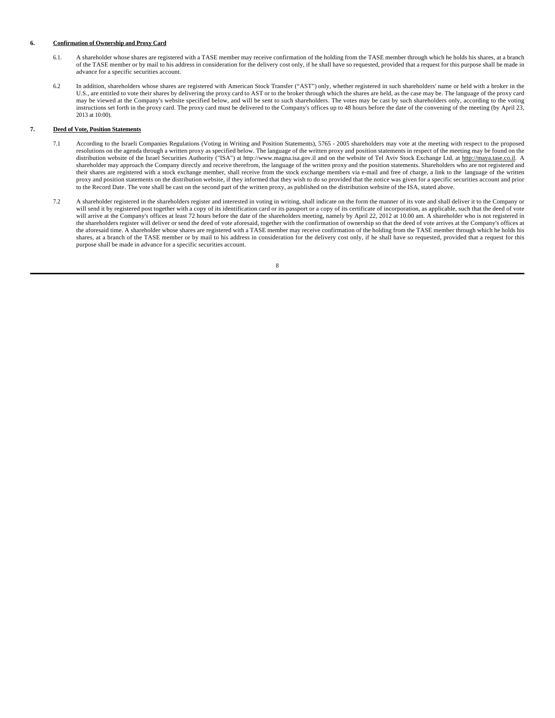#### **6. Confirmation of Ownership and Proxy Card**

- 6.1. A shareholder whose shares are registered with a TASE member may receive confirmation of the holding from the TASE member through which he holds his shares, at a branch of the TASE member or by mail to his address in consideration for the delivery cost only, if he shall have so requested, provided that a request for this purpose shall be made in advance for a specific securities account.
- 6.2 In addition, shareholders whose shares are registered with American Stock Transfer ("AST") only, whether registered in such shareholders' name or held with a broker in the U.S., are entitled to vote their shares by delivering the proxy card to AST or to the broker through which the shares are held, as the case may be. The language of the proxy card may be viewed at the Company's website specified below, and will be sent to such shareholders. The votes may be cast by such shareholders only, according to the voting instructions set forth in the proxy card. The proxy card must be delivered to the Company's offices up to 48 hours before the date of the convening of the meeting (by April 23, 2013 at 10:00).

## **7. Deed of Vote, Position Statements**

- 7.1 According to the Israeli Companies Regulations (Voting in Writing and Position Statements), 5765 2005 shareholders may vote at the meeting with respect to the proposed resolutions on the agenda through a written proxy as specified below. The language of the written proxy and position statements in respect of the meeting may be found on the distribution website of the Israel Securities Authority ("ISA") at http://www.magna.isa.gov.il and on the website of Tel Aviv Stock Exchange Ltd. at http://maya.tase.co.il. A shareholder may approach the Company directly and receive therefrom, the language of the written proxy and the position statements. Shareholders who are not registered and their shares are registered with a stock exchange member, shall receive from the stock exchange members via e-mail and free of charge, a link to the language of the written proxy and position statements on the distribution website, if they informed that they wish to do so provided that the notice was given for a specific securities account and prior to the Record Date. The vote shall be cast on the second part of the written proxy, as published on the distribution website of the ISA, stated above.
- 7.2 A shareholder registered in the shareholders register and interested in voting in writing, shall indicate on the form the manner of its vote and shall deliver it to the Company or will send it by registered post together with a copy of its identification card or its passport or a copy of its certificate of incorporation, as applicable, such that the deed of vote will arrive at the Company's offices at least 72 hours before the date of the shareholders meeting, namely by April 22, 2012 at 10.00 am. A shareholder who is not registered in the shareholders register will deliver or send the deed of vote aforesaid, together with the confirmation of ownership so that the deed of vote arrives at the Company's offices at the aforesaid time. A shareholder whose shares are registered with a TASE member may receive confirmation of the holding from the TASE member through which he holds his shares, at a branch of the TASE member or by mail to his address in consideration for the delivery cost only, if he shall have so requested, provided that a request for this purpose shall be made in advance for a specific securities account.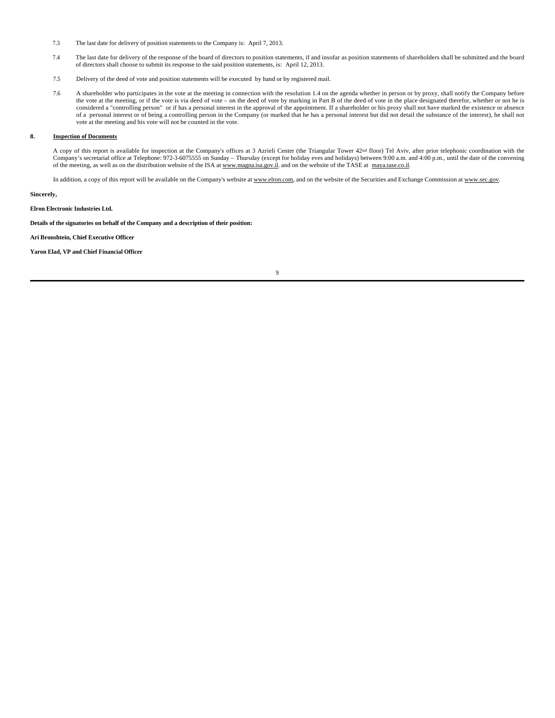- 7.3 The last date for delivery of position statements to the Company is: April 7, 2013.
- 7.4 The last date for delivery of the response of the board of directors to position statements, if and insofar as position statements of shareholders shall be submitted and the board of directors shall choose to submit its response to the said position statements, is: April 12, 2013.
- 7.5 Delivery of the deed of vote and position statements will be executed by hand or by registered mail.
- 7.6 A shareholder who participates in the vote at the meeting in connection with the resolution 1.4 on the agenda whether in person or by proxy, shall notify the Company before the vote at the meeting, or if the vote is via deed of vote – on the deed of vote by marking in Part B of the deed of vote in the place designated therefor, whether or not he is considered a "controlling person" or if has a personal interest in the approval of the appointment. If a shareholder or his proxy shall not have marked the existence or absence of a personal interest or of being a controlling person in the Company (or marked that he has a personal interest but did not detail the substance of the interest), he shall not vote at the meeting and his vote will not be counted in the vote.

#### **8. Inspection of Documents**

A copy of this report is available for inspection at the Company's offices at 3 Azrieli Center (the Triangular Tower 42nd floor) Tel Aviv, after prior telephonic coordination with the Company's secretarial office at Telephone: 972-3-6075555 on Sunday – Thursday (except for holiday eves and holidays) between 9:00 a.m. and 4:00 p.m., until the date of the convening of the meeting, as well as on the distribution website of the ISA at www.magna.isa.gov.il. and on the website of the TASE at maya.tase.co.il.

In addition, a copy of this report will be available on the Company's website at www.elron.com, and on the website of the Securities and Exchange Commission at www.sec.gov.

## **Sincerely,**

## **Elron Electronic Industries Ltd.**

## **Details of the signatories on behalf of the Company and a description of their position:**

#### **Ari Bronshtein, Chief Executive Officer**

**Yaron Elad, VP and Chief Financial Officer**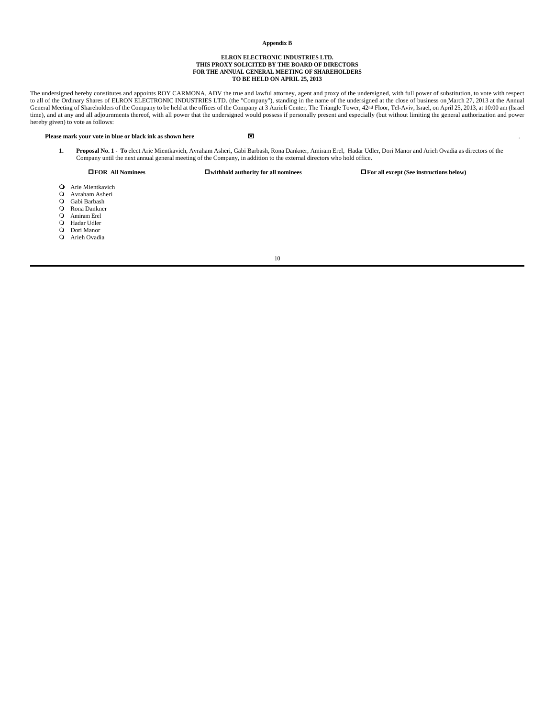#### **Appendix B**

#### **ELRON ELECTRONIC INDUSTRIES LTD. THIS PROXY SOLICITED BY THE BOARD OF DIRECTORS FOR THE ANNUAL GENERAL MEETING OF SHAREHOLDERS TO BE HELD ON APRIL 25, 2013**

The undersigned hereby constitutes and appoints ROY CARMONA, ADV the true and lawful attorney, agent and proxy of the undersigned, with full power of substitution, to vote with respect to all of the Ordinary Shares of ELRON ELECTRONIC INDUSTRIES LTD. (the "Company"), standing in the name of the undersigned at the close of business on March 27, 2013 at the Annual General Meeting of Shareholders of the Company to be held at the offices of the Company at 3 Azrieli Center, The Triangle Tower, 42<sup>nd</sup> Floor, Tel-Aviv, Israel, on April 25, 2013, at 10:00 am (Israel time), and at any and all adjournments thereof, with all power that the undersigned would possess if personally present and especially (but without limiting the general authorization and power hereby given) to vote as follows:

#### **Please mark your vote in blue or black ink as shown here**  $\boxtimes$

**1. Proposal No. 1** - **To** elect Arie Mientkavich, Avraham Asheri, Gabi Barbash, Rona Dankner, Amiram Erel, Hadar Udler, Dori Manor and Arieh Ovadia as directors of the Company until the next annual general meeting of the Company, in addition to the external directors who hold office.

**OFOR All Nominees operations in the properties in the Section of All nominees operations in the Section Sections below**)

- **O** Arie Mientkavich<br>**O** Avraham Asheri
- Q Avraham Asheri<br>Q Gabi Barbash
- Gabi Barbash
- O Rona Dankner<br>O Amiram Erel
- Amiram Erel
- **Q** Hadar Udler
- O Dori Manor
- O Arieh Ovadia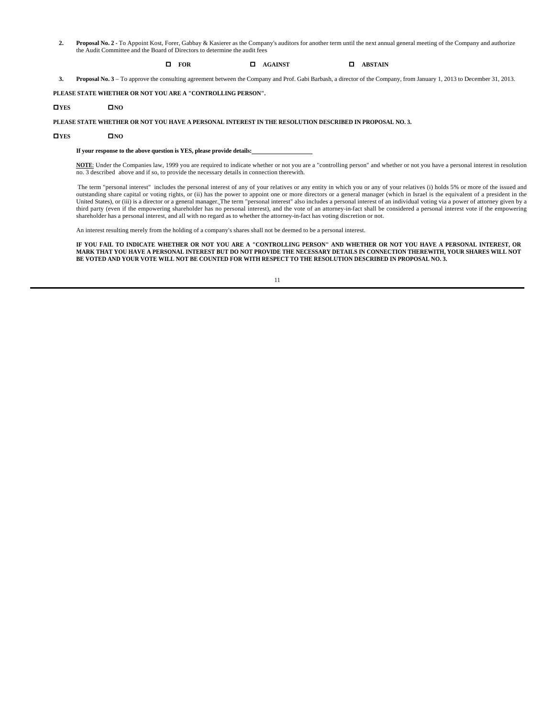2. Proposal No. 2 - To Appoint Kost, Forer, Gabbay & Kasierer as the Company's auditors for another term until the next annual general meeting of the Company and authorize the Audit Committee and the Board of Directors to determine the audit fees

## o **FOR** o **AGAINST** o **ABSTAIN**

**3. Proposal No. 3** – To approve the consulting agreement between the Company and Prof. Gabi Barbash, a director of the Company, from January 1, 2013 to December 31, 2013.

**PLEASE STATE WHETHER OR NOT YOU ARE A "CONTROLLING PERSON".**

#### o**YES** o**NO**

**PLEASE STATE WHETHER OR NOT YOU HAVE A PERSONAL INTEREST IN THE RESOLUTION DESCRIBED IN PROPOSAL NO. 3.**

#### o**YES** o**NO**

**If your response to the above question is YES, please provide details:** 

**NOTE**: Under the Companies law, 1999 you are required to indicate whether or not you are a "controlling person" and whether or not you have a personal interest in resolution no. 3 described above and if so, to provide the necessary details in connection therewith.

The term "personal interest" includes the personal interest of any of your relatives or any entity in which you or any of your relatives (i) holds 5% or more of the issued and outstanding share capital or voting rights, or (ii) has the power to appoint one or more directors or a general manager (which in Israel is the equivalent of a president in the United States), or (iii) is a director or a general manager. The term "personal interest" also includes a personal interest of an individual voting via a power of attorney given by a third party (even if the empowering shareholder has no personal interest), and the vote of an attorney-in-fact shall be considered a personal interest vote if the empowering shareholder has a personal interest, and all with no regard as to whether the attorney-in-fact has voting discretion or not.

An interest resulting merely from the holding of a company's shares shall not be deemed to be a personal interest.

**IF YOU FAIL TO INDICATE WHETHER OR NOT YOU ARE A "CONTROLLING PERSON" AND WHETHER OR NOT YOU HAVE A PERSONAL INTEREST, OR MARK THAT YOU HAVE A PERSONAL INTEREST BUT DO NOT PROVIDE THE NECESSARY DETAILS IN CONNECTION THEREWITH, YOUR SHARES WILL NOT BE VOTED AND YOUR VOTE WILL NOT BE COUNTED FOR WITH RESPECT TO THE RESOLUTION DESCRIBED IN PROPOSAL NO. 3.**